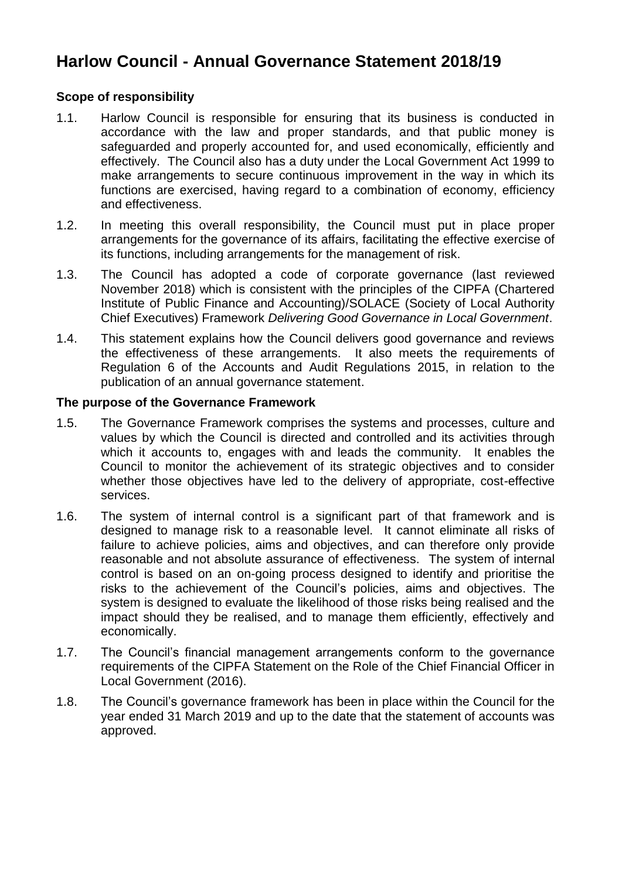# **Harlow Council - Annual Governance Statement 2018/19**

## **Scope of responsibility**

- 1.1. Harlow Council is responsible for ensuring that its business is conducted in accordance with the law and proper standards, and that public money is safeguarded and properly accounted for, and used economically, efficiently and effectively. The Council also has a duty under the Local Government Act 1999 to make arrangements to secure continuous improvement in the way in which its functions are exercised, having regard to a combination of economy, efficiency and effectiveness.
- 1.2. In meeting this overall responsibility, the Council must put in place proper arrangements for the governance of its affairs, facilitating the effective exercise of its functions, including arrangements for the management of risk.
- 1.3. The Council has adopted a code of corporate governance (last reviewed November 2018) which is consistent with the principles of the CIPFA (Chartered Institute of Public Finance and Accounting)/SOLACE (Society of Local Authority Chief Executives) Framework *Delivering Good Governance in Local Government*.
- 1.4. This statement explains how the Council delivers good governance and reviews the effectiveness of these arrangements. It also meets the requirements of Regulation 6 of the Accounts and Audit Regulations 2015, in relation to the publication of an annual governance statement.

### **The purpose of the Governance Framework**

- 1.5. The Governance Framework comprises the systems and processes, culture and values by which the Council is directed and controlled and its activities through which it accounts to, engages with and leads the community. It enables the Council to monitor the achievement of its strategic objectives and to consider whether those objectives have led to the delivery of appropriate, cost-effective services.
- 1.6. The system of internal control is a significant part of that framework and is designed to manage risk to a reasonable level. It cannot eliminate all risks of failure to achieve policies, aims and objectives, and can therefore only provide reasonable and not absolute assurance of effectiveness. The system of internal control is based on an on-going process designed to identify and prioritise the risks to the achievement of the Council's policies, aims and objectives. The system is designed to evaluate the likelihood of those risks being realised and the impact should they be realised, and to manage them efficiently, effectively and economically.
- 1.7. The Council's financial management arrangements conform to the governance requirements of the CIPFA Statement on the Role of the Chief Financial Officer in Local Government (2016).
- 1.8. The Council's governance framework has been in place within the Council for the year ended 31 March 2019 and up to the date that the statement of accounts was approved.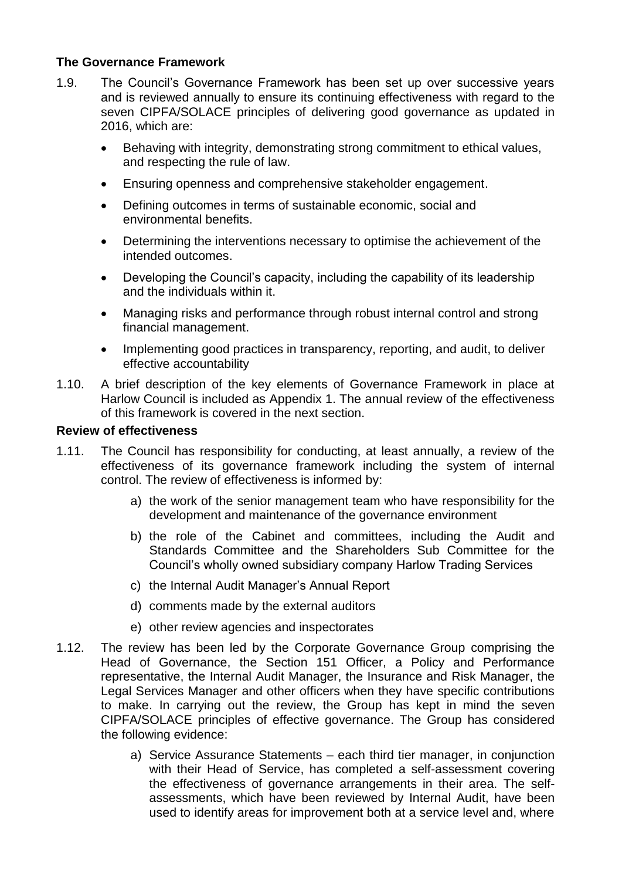# **The Governance Framework**

- 1.9. The Council's Governance Framework has been set up over successive years and is reviewed annually to ensure its continuing effectiveness with regard to the seven CIPFA/SOLACE principles of delivering good governance as updated in 2016, which are:
	- Behaving with integrity, demonstrating strong commitment to ethical values, and respecting the rule of law.
	- Ensuring openness and comprehensive stakeholder engagement.
	- Defining outcomes in terms of sustainable economic, social and environmental benefits.
	- Determining the interventions necessary to optimise the achievement of the intended outcomes.
	- Developing the Council's capacity, including the capability of its leadership and the individuals within it.
	- Managing risks and performance through robust internal control and strong financial management.
	- Implementing good practices in transparency, reporting, and audit, to deliver effective accountability
- 1.10. A brief description of the key elements of Governance Framework in place at Harlow Council is included as Appendix 1. The annual review of the effectiveness of this framework is covered in the next section.

### **Review of effectiveness**

- 1.11. The Council has responsibility for conducting, at least annually, a review of the effectiveness of its governance framework including the system of internal control. The review of effectiveness is informed by:
	- a) the work of the senior management team who have responsibility for the development and maintenance of the governance environment
	- b) the role of the Cabinet and committees, including the Audit and Standards Committee and the Shareholders Sub Committee for the Council's wholly owned subsidiary company Harlow Trading Services
	- c) the Internal Audit Manager's Annual Report
	- d) comments made by the external auditors
	- e) other review agencies and inspectorates
- 1.12. The review has been led by the Corporate Governance Group comprising the Head of Governance, the Section 151 Officer, a Policy and Performance representative, the Internal Audit Manager, the Insurance and Risk Manager, the Legal Services Manager and other officers when they have specific contributions to make. In carrying out the review, the Group has kept in mind the seven CIPFA/SOLACE principles of effective governance. The Group has considered the following evidence:
	- a) Service Assurance Statements each third tier manager, in conjunction with their Head of Service, has completed a self-assessment covering the effectiveness of governance arrangements in their area. The selfassessments, which have been reviewed by Internal Audit, have been used to identify areas for improvement both at a service level and, where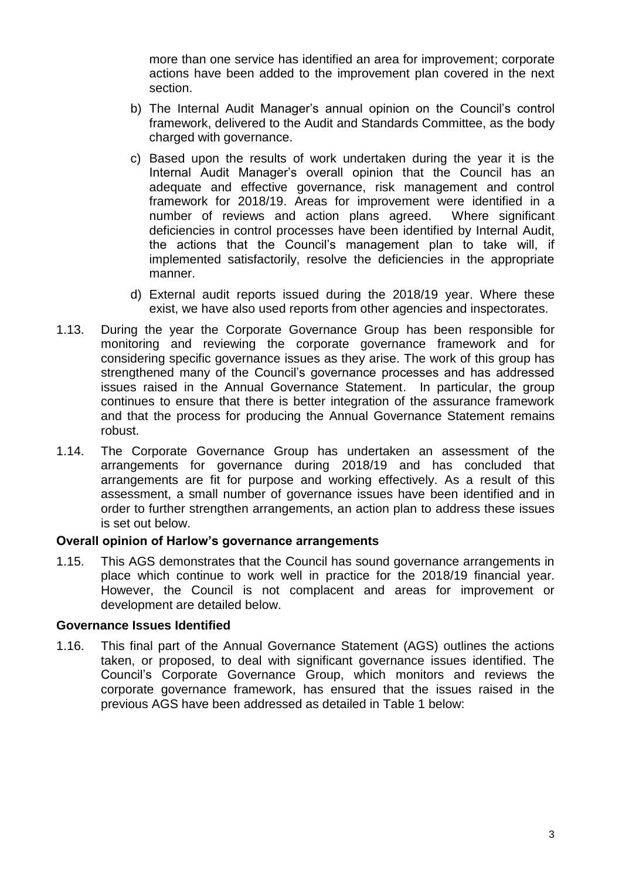more than one service has identified an area for improvement; corporate actions have been added to the improvement plan covered in the next section.

- b) The Internal Audit Manager's annual opinion on the Council's control framework, delivered to the Audit and Standards Committee, as the body charged with governance.
- c) Based upon the results of work undertaken during the year it is the Internal Audit Manager's overall opinion that the Council has an adequate and effective governance, risk management and control framework for 2018/19. Areas for improvement were identified in a number of reviews and action plans agreed. Where significant deficiencies in control processes have been identified by Internal Audit, the actions that the Council's management plan to take will, if implemented satisfactorily, resolve the deficiencies in the appropriate manner.
- d) External audit reports issued during the 2018/19 year. Where these exist, we have also used reports from other agencies and inspectorates.
- 1.13. During the year the Corporate Governance Group has been responsible for monitoring and reviewing the corporate governance framework and for considering specific governance issues as they arise. The work of this group has strengthened many of the Council's governance processes and has addressed issues raised in the Annual Governance Statement. In particular, the group continues to ensure that there is better integration of the assurance framework and that the process for producing the Annual Governance Statement remains robust.
- 1.14. The Corporate Governance Group has undertaken an assessment of the arrangements for governance during 2018/19 and has concluded that arrangements are fit for purpose and working effectively. As a result of this assessment, a small number of governance issues have been identified and in order to further strengthen arrangements, an action plan to address these issues is set out below.

### **Overall opinion of Harlow's governance arrangements**

1.15. This AGS demonstrates that the Council has sound governance arrangements in place which continue to work well in practice for the 2018/19 financial year. However, the Council is not complacent and areas for improvement or development are detailed below.

### **Governance Issues Identified**

1.16. This final part of the Annual Governance Statement (AGS) outlines the actions taken, or proposed, to deal with significant governance issues identified. The Council's Corporate Governance Group, which monitors and reviews the corporate governance framework, has ensured that the issues raised in the previous AGS have been addressed as detailed in Table 1 below: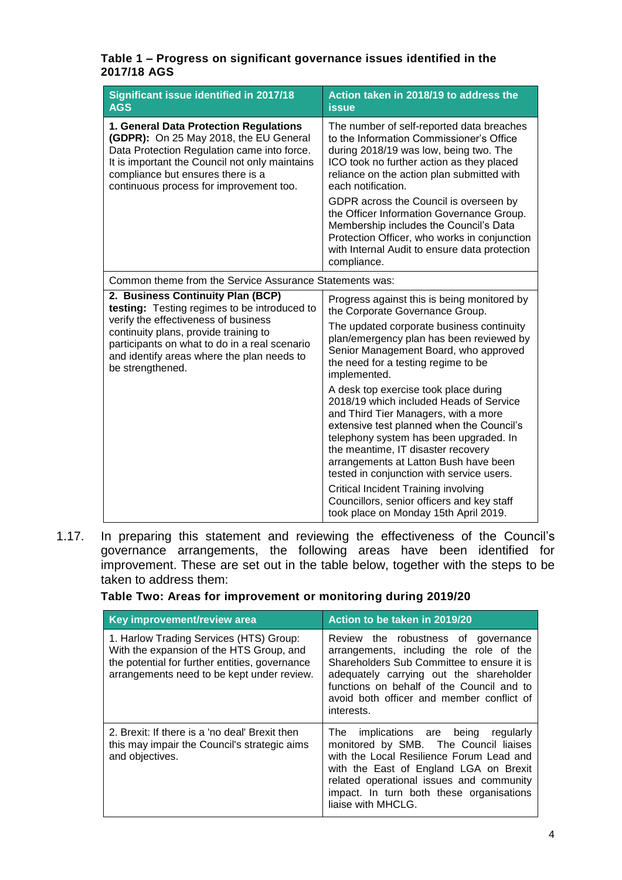#### **Table 1 – Progress on significant governance issues identified in the 2017/18 AGS**

| Significant issue identified in 2017/18                 | Action taken in 2018/19 to address the                                                                                                                                                                                                                                                                                                                                                                                                                                     |  |
|---------------------------------------------------------|----------------------------------------------------------------------------------------------------------------------------------------------------------------------------------------------------------------------------------------------------------------------------------------------------------------------------------------------------------------------------------------------------------------------------------------------------------------------------|--|
| <b>AGS</b>                                              | <b>issue</b>                                                                                                                                                                                                                                                                                                                                                                                                                                                               |  |
| 1. General Data Protection Regulations                  | The number of self-reported data breaches                                                                                                                                                                                                                                                                                                                                                                                                                                  |  |
| (GDPR): On 25 May 2018, the EU General                  | to the Information Commissioner's Office                                                                                                                                                                                                                                                                                                                                                                                                                                   |  |
| Data Protection Regulation came into force.             | during 2018/19 was low, being two. The                                                                                                                                                                                                                                                                                                                                                                                                                                     |  |
| It is important the Council not only maintains          | ICO took no further action as they placed                                                                                                                                                                                                                                                                                                                                                                                                                                  |  |
| compliance but ensures there is a                       | reliance on the action plan submitted with                                                                                                                                                                                                                                                                                                                                                                                                                                 |  |
| continuous process for improvement too.                 | each notification.                                                                                                                                                                                                                                                                                                                                                                                                                                                         |  |
|                                                         | GDPR across the Council is overseen by<br>the Officer Information Governance Group.<br>Membership includes the Council's Data<br>Protection Officer, who works in conjunction<br>with Internal Audit to ensure data protection<br>compliance.                                                                                                                                                                                                                              |  |
| Common theme from the Service Assurance Statements was: |                                                                                                                                                                                                                                                                                                                                                                                                                                                                            |  |
| 2. Business Continuity Plan (BCP)                       | Progress against this is being monitored by                                                                                                                                                                                                                                                                                                                                                                                                                                |  |
| testing: Testing regimes to be introduced to            | the Corporate Governance Group.                                                                                                                                                                                                                                                                                                                                                                                                                                            |  |
| verify the effectiveness of business                    | The updated corporate business continuity                                                                                                                                                                                                                                                                                                                                                                                                                                  |  |
| continuity plans, provide training to                   | plan/emergency plan has been reviewed by                                                                                                                                                                                                                                                                                                                                                                                                                                   |  |
| participants on what to do in a real scenario           | Senior Management Board, who approved                                                                                                                                                                                                                                                                                                                                                                                                                                      |  |
| and identify areas where the plan needs to              | the need for a testing regime to be                                                                                                                                                                                                                                                                                                                                                                                                                                        |  |
| be strengthened.                                        | implemented.                                                                                                                                                                                                                                                                                                                                                                                                                                                               |  |
|                                                         | A desk top exercise took place during<br>2018/19 which included Heads of Service<br>and Third Tier Managers, with a more<br>extensive test planned when the Council's<br>telephony system has been upgraded. In<br>the meantime, IT disaster recovery<br>arrangements at Latton Bush have been<br>tested in conjunction with service users.<br>Critical Incident Training involving<br>Councillors, senior officers and key staff<br>took place on Monday 15th April 2019. |  |

1.17. In preparing this statement and reviewing the effectiveness of the Council's governance arrangements, the following areas have been identified for improvement. These are set out in the table below, together with the steps to be taken to address them:

### **Table Two: Areas for improvement or monitoring during 2019/20**

| Key improvement/review area                                                                                                                                                         | Action to be taken in 2019/20                                                                                                                                                                                                                                                        |  |  |  |
|-------------------------------------------------------------------------------------------------------------------------------------------------------------------------------------|--------------------------------------------------------------------------------------------------------------------------------------------------------------------------------------------------------------------------------------------------------------------------------------|--|--|--|
| 1. Harlow Trading Services (HTS) Group:<br>With the expansion of the HTS Group, and<br>the potential for further entities, governance<br>arrangements need to be kept under review. | Review the robustness of governance<br>arrangements, including the role of the<br>Shareholders Sub Committee to ensure it is<br>adequately carrying out the shareholder<br>functions on behalf of the Council and to<br>avoid both officer and member conflict of<br>interests.      |  |  |  |
| 2. Brexit: If there is a 'no deal' Brexit then<br>this may impair the Council's strategic aims<br>and objectives.                                                                   | implications are being regularly<br>The<br>monitored by SMB. The Council liaises<br>with the Local Resilience Forum Lead and<br>with the East of England LGA on Brexit<br>related operational issues and community<br>impact. In turn both these organisations<br>liaise with MHCLG. |  |  |  |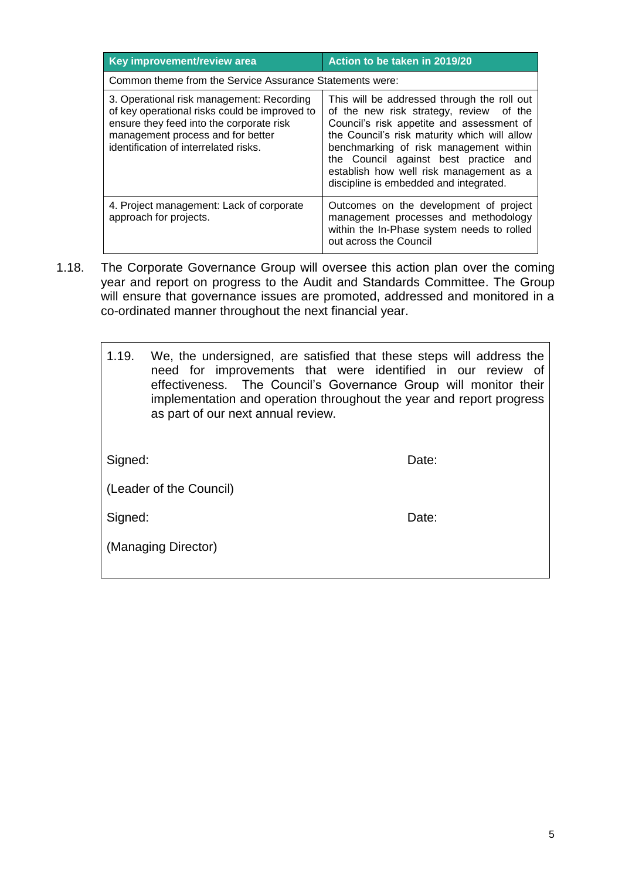| Key improvement/review area                                                                                                                                                                                          | Action to be taken in 2019/20                                                                                                                                                                                                                                                                                                                               |  |  |  |  |
|----------------------------------------------------------------------------------------------------------------------------------------------------------------------------------------------------------------------|-------------------------------------------------------------------------------------------------------------------------------------------------------------------------------------------------------------------------------------------------------------------------------------------------------------------------------------------------------------|--|--|--|--|
| Common theme from the Service Assurance Statements were:                                                                                                                                                             |                                                                                                                                                                                                                                                                                                                                                             |  |  |  |  |
| 3. Operational risk management: Recording<br>of key operational risks could be improved to<br>ensure they feed into the corporate risk<br>management process and for better<br>identification of interrelated risks. | This will be addressed through the roll out<br>of the new risk strategy, review of the<br>Council's risk appetite and assessment of<br>the Council's risk maturity which will allow<br>benchmarking of risk management within<br>the Council against best practice and<br>establish how well risk management as a<br>discipline is embedded and integrated. |  |  |  |  |
| 4. Project management: Lack of corporate<br>approach for projects.                                                                                                                                                   | Outcomes on the development of project<br>management processes and methodology<br>within the In-Phase system needs to rolled<br>out across the Council                                                                                                                                                                                                      |  |  |  |  |

1.18. The Corporate Governance Group will oversee this action plan over the coming year and report on progress to the Audit and Standards Committee. The Group will ensure that governance issues are promoted, addressed and monitored in a co-ordinated manner throughout the next financial year.

| 1.19.                   | We, the undersigned, are satisfied that these steps will address the<br>need for improvements that were identified in our review of<br>effectiveness. The Council's Governance Group will monitor their<br>implementation and operation throughout the year and report progress<br>as part of our next annual review. |       |  |  |
|-------------------------|-----------------------------------------------------------------------------------------------------------------------------------------------------------------------------------------------------------------------------------------------------------------------------------------------------------------------|-------|--|--|
| Signed:                 |                                                                                                                                                                                                                                                                                                                       | Date: |  |  |
| (Leader of the Council) |                                                                                                                                                                                                                                                                                                                       |       |  |  |
| Signed:                 |                                                                                                                                                                                                                                                                                                                       | Date: |  |  |
|                         | (Managing Director)                                                                                                                                                                                                                                                                                                   |       |  |  |